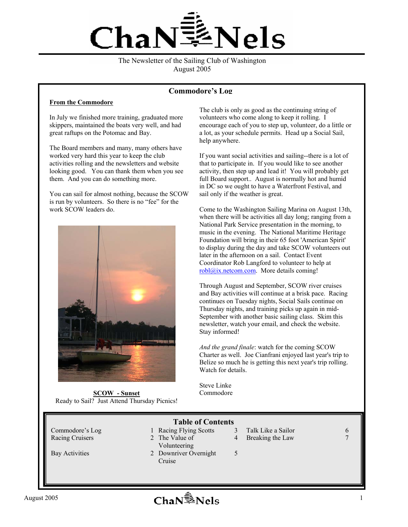

The Newsletter of the Sailing Club of Washington August 2005

#### **Commodore's Log**

#### **From the Commodore**

In July we finished more training, graduated more skippers, maintained the boats very well, and had great raftups on the Potomac and Bay.

The Board members and many, many others have worked very hard this year to keep the club activities rolling and the newsletters and website looking good. You can thank them when you see them. And you can do something more.

You can sail for almost nothing, because the SCOW is run by volunteers. So there is no "fee" for the work SCOW leaders do.



**SCOW - Sunset**  Ready to Sail? Just Attend Thursday Picnics!

The club is only as good as the continuing string of volunteers who come along to keep it rolling. I encourage each of you to step up, volunteer, do a little or a lot, as your schedule permits. Head up a Social Sail, help anywhere.

If you want social activities and sailing--there is a lot of that to participate in. If you would like to see another activity, then step up and lead it! You will probably get full Board support.. August is normally hot and humid in DC so we ought to have a Waterfront Festival, and sail only if the weather is great.

Come to the Washington Sailing Marina on August 13th, when there will be activities all day long; ranging from a National Park Service presentation in the morning, to music in the evening. The National Maritime Heritage Foundation will bring in their 65 foot 'American Spirit' to display during the day and take SCOW volunteers out later in the afternoon on a sail. Contact Event Coordinator Rob Langford to volunteer to help at robl@ix.netcom.com. More details coming!

Through August and September, SCOW river cruises and Bay activities will continue at a brisk pace. Racing continues on Tuesday nights, Social Sails continue on Thursday nights, and training picks up again in mid-September with another basic sailing class. Skim this newsletter, watch your email, and check the website. Stay informed!

*And the grand finale*: watch for the coming SCOW Charter as well. Joe Cianfrani enjoyed last year's trip to Belize so much he is getting this next year's trip rolling. Watch for details.

Steve Linke Commodore

| <b>Table of Contents</b> |  |                                 |   |                    |               |  |  |  |
|--------------------------|--|---------------------------------|---|--------------------|---------------|--|--|--|
| Commodore's Log          |  | <b>Racing Flying Scotts</b>     |   | Talk Like a Sailor | $\mathfrak b$ |  |  |  |
| <b>Racing Cruisers</b>   |  | 2 The Value of<br>Volunteering  | 4 | Breaking the Law   |               |  |  |  |
| <b>Bay Activities</b>    |  | 2 Downriver Overnight<br>Cruise |   |                    |               |  |  |  |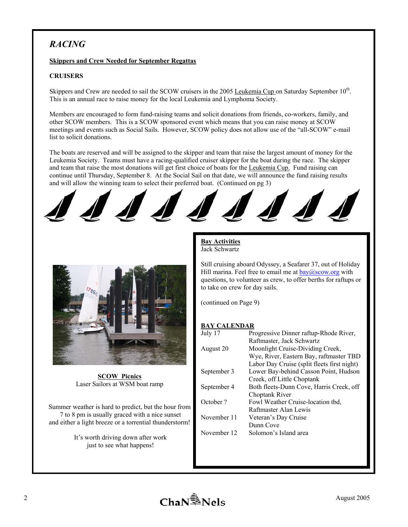## *RACING*

## **Skippers and Crew Needed for September Regattas**

## **CRUISERS**

Skippers and Crew are needed to sail the SCOW cruisers in the 2005 Leukemia Cup on Saturday September 10<sup>th</sup>. This is an annual race to raise money for the local Leukemia and Lymphoma Society.

Members are encouraged to form fund-raising teams and solicit donations from friends, co-workers, family, and other SCOW members. This is a SCOW sponsored event which means that you can raise money at SCOW meetings and events such as Social Sails. However, SCOW policy does not allow use of the "all-SCOW" e-mail list to solicit donations.

The boats are reserved and will be assigned to the skipper and team that raise the largest amount of money for the Leukemia Society. Teams must have a racing-qualified cruiser skipper for the boat during the race. The skipper and team that raise the most donations will get first choice of boats for the Leukemia Cup. Fund raising can continue until Thursday, September 8. At the Social Sail on that date, we will announce the fund raising results and will allow the winning team to select their preferred boat. (Continued on pg 3)



**SCOW Picnics** Laser Sailors at WSM boat ramp

Summer weather is hard to predict, but the hour from 7 to 8 pm is usually graced with a nice sunset and either a light breeze or a torrential thunderstorm!

> It's worth driving down after work just to see what happens!

## **Bay Activities** Jack Schwartz

Still cruising aboard Odyssey, a Seafarer 37, out of Holiday Hill marina. Feel free to email me at  $bay@scow.org$  with questions, to volunteer as crew, to offer berths for raftups or to take on crew for day sails.

(continued on Page 9)

## **BAY CALENDAR**

| July 17     | Progressive Dinner raftup-Rhode River,      |
|-------------|---------------------------------------------|
|             | Raftmaster, Jack Schwartz                   |
| August 20   | Moonlight Cruise-Dividing Creek,            |
|             | Wye, River, Eastern Bay, raftmaster TBD     |
|             | Labor Day Cruise (split fleets first night) |
| September 3 | Lower Bay-behind Casson Point, Hudson       |
|             | Creek, off Little Choptank                  |
| September 4 | Both fleets-Dunn Cove, Harris Creek, off    |
|             | Choptank River                              |
| October?    | Fowl Weather Cruise-location tbd.           |
|             | Raftmaster Alan Lewis                       |
| November 11 | Veteran's Day Cruise                        |
|             | Dunn Cove                                   |
| November 12 | Solomon's Island area                       |

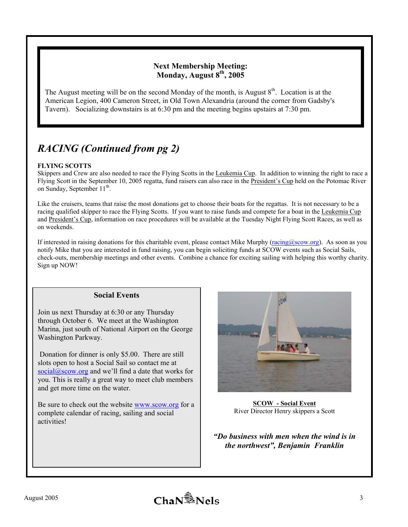## **Next Membership Meeting: Monday, August 8th, 2005**

The August meeting will be on the second Monday of the month, is August  $8<sup>th</sup>$ . Location is at the American Legion, 400 Cameron Street, in Old Town Alexandria (around the corner from Gadsby's Tavern). Socializing downstairs is at 6:30 pm and the meeting begins upstairs at 7:30 pm.

# *RACING (Continued from pg 2)*

## **FLYING SCOTTS**

Skippers and Crew are also needed to race the Flying Scotts in the Leukemia Cup. In addition to winning the right to race a Flying Scott in the September 10, 2005 regatta, fund raisers can also race in the President's Cup held on the Potomac River on Sunday, September 11<sup>th</sup>.

Like the cruisers, teams that raise the most donations get to choose their boats for the regattas. It is not necessary to be a racing qualified skipper to race the Flying Scotts. If you want to raise funds and compete for a boat in the Leukemia Cup and President's Cup, information on race procedures will be available at the Tuesday Night Flying Scott Races, as well as on weekends.

If interested in raising donations for this charitable event, please contact Mike Murphy (racing@scow.org). As soon as you notify Mike that you are interested in fund raising, you can begin soliciting funds at SCOW events such as Social Sails, check-outs, membership meetings and other events. Combine a chance for exciting sailing with helping this worthy charity. Sign up NOW!

## **Social Events**

Join us next Thursday at 6:30 or any Thursday through October 6. We meet at the Washington Marina, just south of National Airport on the George Washington Parkway.

 Donation for dinner is only \$5.00. There are still slots open to host a Social Sail so contact me at  $social@scow.org$  and we'll find a date that works for you. This is really a great way to meet club members and get more time on the water.

Be sure to check out the website www.scow.org for a complete calendar of racing, sailing and social activities!



**SCOW - Social Event**  River Director Henry skippers a Scott

*"Do business with men when the wind is in the northwest", Benjamin Franklin* 

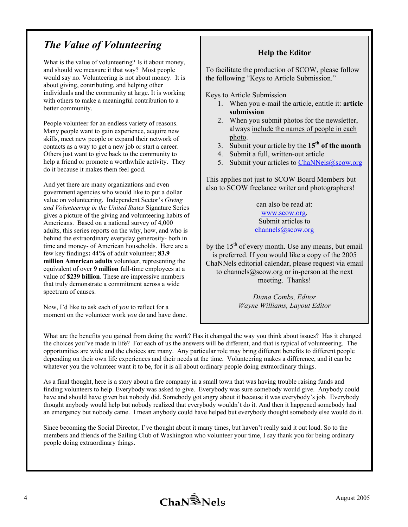# *The Value of Volunteering*

What is the value of volunteering? Is it about money, and should we measure it that way? Most people would say no. Volunteering is not about money. It is about giving, contributing, and helping other individuals and the community at large. It is working with others to make a meaningful contribution to a better community.

People volunteer for an endless variety of reasons. Many people want to gain experience, acquire new skills, meet new people or expand their network of contacts as a way to get a new job or start a career. Others just want to give back to the community to help a friend or promote a worthwhile activity. They do it because it makes them feel good.

And yet there are many organizations and even government agencies who would like to put a dollar value on volunteering. Independent Sector's *Giving and Volunteering in the United States* Signature Series gives a picture of the giving and volunteering habits of Americans. Based on a national survey of 4,000 adults, this series reports on the why, how, and who is behind the extraordinary everyday generosity- both in time and money- of American households. Here are a few key findings**: 44%** of adult volunteer; **83.9 million American adults** volunteer, representing the equivalent of over **9 million** full-time employees at a value of **\$239 billion**. These are impressive numbers that truly demonstrate a commitment across a wide spectrum of causes.

Now, I'd like to ask each of *you* to reflect for a moment on the volunteer work *you* do and have done.

## **Help the Editor**

To facilitate the production of SCOW, please follow the following "Keys to Article Submission."

Keys to Article Submission

- 1. When you e-mail the article, entitle it: **article submission**
- 2. When you submit photos for the newsletter, always include the names of people in each photo.
- 3. Submit your article by the **15th of the month**
- 4. Submit a full, written-out article
- 5. Submit your articles to ChaNNels@scow.org

This applies not just to SCOW Board Members but also to SCOW freelance writer and photographers!

> can also be read at: www.scow.org. Submit articles to channels@scow.org

by the  $15<sup>th</sup>$  of every month. Use any means, but email is preferred. If you would like a copy of the 2005 ChaNNels editorial calendar, please request via email to channels@scow.org or in-person at the next meeting. Thanks!

> *Diana Combs, Editor Wayne Williams, Layout Editor*

What are the benefits you gained from doing the work? Has it changed the way you think about issues? Has it changed the choices you've made in life? For each of us the answers will be different, and that is typical of volunteering. The opportunities are wide and the choices are many. Any particular role may bring different benefits to different people depending on their own life experiences and their needs at the time. Volunteering makes a difference, and it can be whatever you the volunteer want it to be, for it is all about ordinary people doing extraordinary things.

As a final thought, here is a story about a fire company in a small town that was having trouble raising funds and finding volunteers to help. Everybody was asked to give. Everybody was sure somebody would give. Anybody could have and should have given but nobody did. Somebody got angry about it because it was everybody's job. Everybody thought anybody would help but nobody realized that everybody wouldn't do it. And then it happened somebody had an emergency but nobody came. I mean anybody could have helped but everybody thought somebody else would do it.

Since becoming the Social Director, I've thought about it many times, but haven't really said it out loud. So to the members and friends of the Sailing Club of Washington who volunteer your time, I say thank you for being ordinary people doing extraordinary things.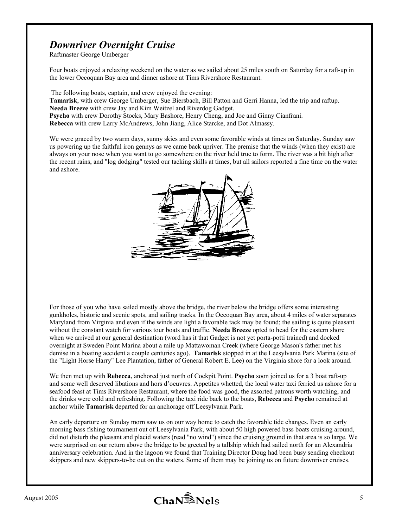# *Downriver Overnight Cruise*

Raftmaster George Umberger

Four boats enjoyed a relaxing weekend on the water as we sailed about 25 miles south on Saturday for a raft-up in the lower Occoquan Bay area and dinner ashore at Tims Rivershore Restaurant.

 The following boats, captain, and crew enjoyed the evening: **Tamarisk**, with crew George Umberger, Sue Biersbach, Bill Patton and Gerri Hanna, led the trip and raftup. **Needa Breeze** with crew Jay and Kim Weitzel and Riverdog Gadget. **Psycho** with crew Dorothy Stocks, Mary Bashore, Henry Cheng, and Joe and Ginny Cianfrani. **Rebecca** with crew Larry McAndrews, John Jiang, Alice Starcke, and Dot Almassy.

We were graced by two warm days, sunny skies and even some favorable winds at times on Saturday. Sunday saw us powering up the faithful iron gennys as we came back upriver. The premise that the winds (when they exist) are always on your nose when you want to go somewhere on the river held true to form. The river was a bit high after the recent rains, and "log dodging" tested our tacking skills at times, but all sailors reported a fine time on the water and ashore.



For those of you who have sailed mostly above the bridge, the river below the bridge offers some interesting gunkholes, historic and scenic spots, and sailing tracks. In the Occoquan Bay area, about 4 miles of water separates Maryland from Virginia and even if the winds are light a favorable tack may be found; the sailing is quite pleasant without the constant watch for various tour boats and traffic. **Needa Breeze** opted to head for the eastern shore when we arrived at our general destination (word has it that Gadget is not yet porta-potti trained) and docked overnight at Sweden Point Marina about a mile up Mattawoman Creek (where George Mason's father met his demise in a boating accident a couple centuries ago). **Tamarisk** stopped in at the Leesylvania Park Marina (site of the "Light Horse Harry" Lee Plantation, father of General Robert E. Lee) on the Virginia shore for a look around.

We then met up with **Rebecca**, anchored just north of Cockpit Point. **Psycho** soon joined us for a 3 boat raft-up and some well deserved libations and hors d'oeuvres. Appetites whetted, the local water taxi ferried us ashore for a seafood feast at Tims Rivershore Restaurant, where the food was good, the assorted patrons worth watching, and the drinks were cold and refreshing. Following the taxi ride back to the boats, **Rebecca** and **Psycho** remained at anchor while **Tamarisk** departed for an anchorage off Leesylvania Park.

An early departure on Sunday morn saw us on our way home to catch the favorable tide changes. Even an early morning bass fishing tournament out of Leesylvania Park, with about 50 high powered bass boats cruising around, did not disturb the pleasant and placid waters (read "no wind") since the cruising ground in that area is so large. We were surprised on our return above the bridge to be greeted by a tallship which had sailed north for an Alexandria anniversary celebration. And in the lagoon we found that Training Director Doug had been busy sending checkout skippers and new skippers-to-be out on the waters. Some of them may be joining us on future downriver cruises.

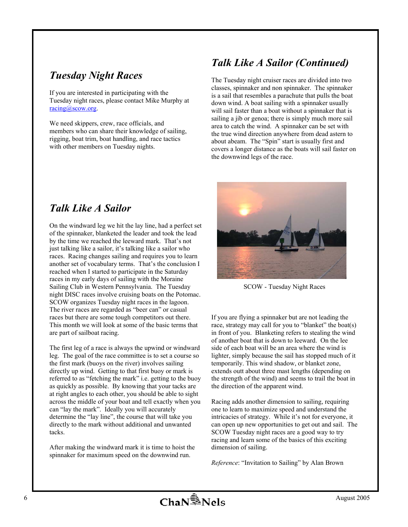# *Tuesday Night Races*

If you are interested in participating with the Tuesday night races, please contact Mike Murphy at racing@scow.org.

We need skippers, crew, race officials, and members who can share their knowledge of sailing, rigging, boat trim, boat handling, and race tactics with other members on Tuesday nights.

# *Talk Like A Sailor (Continued)*

The Tuesday night cruiser races are divided into two classes, spinnaker and non spinnaker. The spinnaker is a sail that resembles a parachute that pulls the boat down wind. A boat sailing with a spinnaker usually will sail faster than a boat without a spinnaker that is sailing a jib or genoa; there is simply much more sail area to catch the wind. A spinnaker can be set with the true wind direction anywhere from dead astern to about abeam. The "Spin" start is usually first and covers a longer distance as the boats will sail faster on the downwind legs of the race.

# *Talk Like A Sailor*

On the windward leg we hit the lay line, had a perfect set of the spinnaker, blanketed the leader and took the lead by the time we reached the leeward mark. That's not just talking like a sailor, it's talking like a sailor who races. Racing changes sailing and requires you to learn another set of vocabulary terms. That's the conclusion I reached when I started to participate in the Saturday races in my early days of sailing with the Moraine Sailing Club in Western Pennsylvania. The Tuesday night DISC races involve cruising boats on the Potomac. SCOW organizes Tuesday night races in the lagoon. The river races are regarded as "beer can" or casual races but there are some tough competitors out there. This month we will look at some of the basic terms that are part of sailboat racing.

The first leg of a race is always the upwind or windward leg. The goal of the race committee is to set a course so the first mark (buoys on the river) involves sailing directly up wind. Getting to that first buoy or mark is referred to as "fetching the mark" i.e. getting to the buoy as quickly as possible. By knowing that your tacks are at right angles to each other, you should be able to sight across the middle of your boat and tell exactly when you can "lay the mark". Ideally you will accurately determine the "lay line", the course that will take you directly to the mark without additional and unwanted tacks.

After making the windward mark it is time to hoist the spinnaker for maximum speed on the downwind run.



SCOW - Tuesday Night Races

If you are flying a spinnaker but are not leading the race, strategy may call for you to "blanket" the boat(s) in front of you. Blanketing refers to stealing the wind of another boat that is down to leeward. On the lee side of each boat will be an area where the wind is lighter, simply because the sail has stopped much of it temporarily. This wind shadow, or blanket zone, extends outt about three mast lengths (depending on the strength of the wind) and seems to trail the boat in the direction of the apparent wind.

Racing adds another dimension to sailing, requiring one to learn to maximize speed and understand the intricacies of strategy. While it's not for everyone, it can open up new opportunities to get out and sail. The SCOW Tuesday night races are a good way to try racing and learn some of the basics of this exciting dimension of sailing.

*Reference*: "Invitation to Sailing" by Alan Brown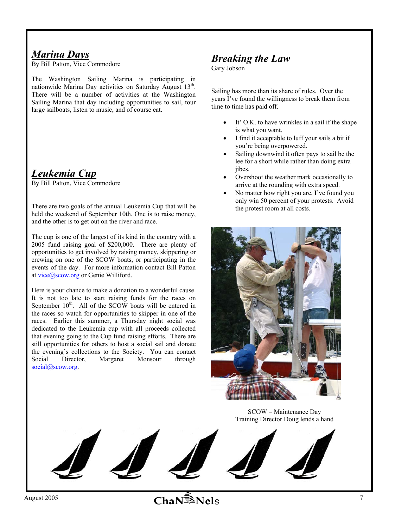## *Marina Days*

By Bill Patton, Vice Commodore

The Washington Sailing Marina is participating in nationwide Marina Day activities on Saturday August 13<sup>th</sup>. There will be a number of activities at the Washington Sailing Marina that day including opportunities to sail, tour large sailboats, listen to music, and of course eat.

# *Leukemia Cup*

By Bill Patton, Vice Commodore

There are two goals of the annual Leukemia Cup that will be held the weekend of September 10th. One is to raise money, and the other is to get out on the river and race.

The cup is one of the largest of its kind in the country with a 2005 fund raising goal of \$200,000. There are plenty of opportunities to get involved by raising money, skippering or crewing on one of the SCOW boats, or participating in the events of the day. For more information contact Bill Patton at vice@scow.org or Genie Williford.

Here is your chance to make a donation to a wonderful cause. It is not too late to start raising funds for the races on September  $10^{th}$ . All of the SCOW boats will be entered in the races so watch for opportunities to skipper in one of the races. Earlier this summer, a Thursday night social was dedicated to the Leukemia cup with all proceeds collected that evening going to the Cup fund raising efforts. There are still opportunities for others to host a social sail and donate the evening's collections to the Society. You can contact Social Director, Margaret Monsour through social@scow.org.

## *Breaking the Law*

Gary Jobson

Sailing has more than its share of rules. Over the years I've found the willingness to break them from time to time has paid off.

- It' O.K. to have wrinkles in a sail if the shape is what you want.
- I find it acceptable to luff your sails a bit if you're being overpowered.
- Sailing downwind it often pays to sail be the lee for a short while rather than doing extra jibes.
- Overshoot the weather mark occasionally to arrive at the rounding with extra speed.
- No matter how right you are, I've found you only win 50 percent of your protests. Avoid the protest room at all costs.



SCOW – Maintenance Day Training Director Doug lends a hand

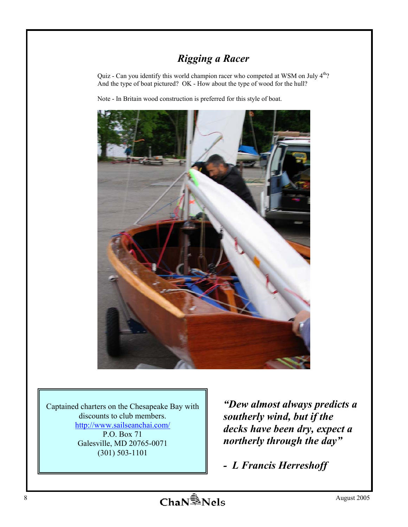# *Rigging a Racer*

Quiz - Can you identify this world champion racer who competed at WSM on July 4<sup>th</sup>? And the type of boat pictured? OK - How about the type of wood for the hull?

Note - In Britain wood construction is preferred for this style of boat.



Captained charters on the Chesapeake Bay with discounts to club members. http://www.sailseanchai.com/ P.O. Box 71 Galesville, MD 20765-0071 (301) 503-1101

*"Dew almost always predicts a southerly wind, but if the decks have been dry, expect a northerly through the day"* 

*- L Francis Herreshoff*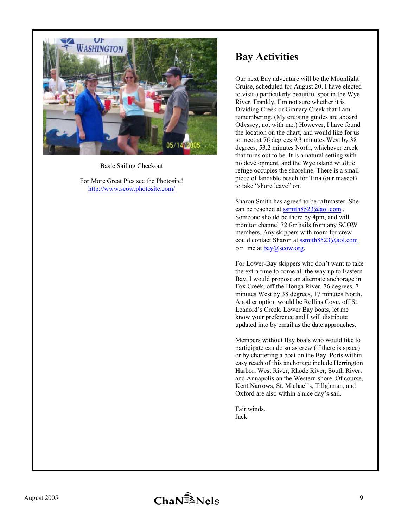

Basic Sailing Checkout

For More Great Pics see the Photosite! http://www.scow.photosite.com/

# **Bay Activities**

Our next Bay adventure will be the Moonlight Cruise, scheduled for August 20. I have elected to visit a particularly beautiful spot in the Wye River. Frankly, I'm not sure whether it is Dividing Creek or Granary Creek that I am remembering. (My cruising guides are aboard Odyssey, not with me.) However, I have found the location on the chart, and would like for us to meet at 76 degrees 9.3 minutes West by 38 degrees, 53.2 minutes North, whichever creek that turns out to be. It is a natural setting with no development, and the Wye island wildlife refuge occupies the shoreline. There is a small piece of landable beach for Tina (our mascot) to take "shore leave" on.

Sharon Smith has agreed to be raftmaster. She can be reached at ssmith8523@aol.com. Someone should be there by 4pm, and will monitor channel 72 for hails from any SCOW members. Any skippers with room for crew could contact Sharon at **ssmith8523@aol.com** or me at  $bav@scow.org$ .

For Lower-Bay skippers who don't want to take the extra time to come all the way up to Eastern Bay, I would propose an alternate anchorage in Fox Creek, off the Honga River. 76 degrees, 7 minutes West by 38 degrees, 17 minutes North. Another option would be Rollins Cove, off St. Leanord's Creek. Lower Bay boats, let me know your preference and I will distribute updated into by email as the date approaches.

Members without Bay boats who would like to participate can do so as crew (if there is space) or by chartering a boat on the Bay. Ports within easy reach of this anchorage include Herrington Harbor, West River, Rhode River, South River, and Annapolis on the Western shore. Of course, Kent Narrows, St. Michael's, Tillghman, and Oxford are also within a nice day's sail.

Fair winds. Jack